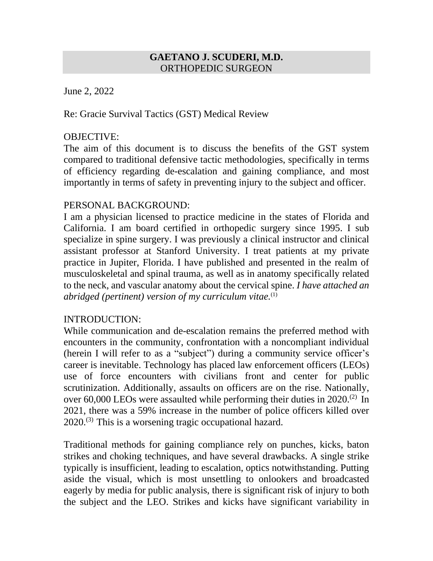#### **GAETANO J. SCUDERI, M.D.** ORTHOPEDIC SURGEON

June 2, 2022

Re: Gracie Survival Tactics (GST) Medical Review

### OBJECTIVE:

The aim of this document is to discuss the benefits of the GST system compared to traditional defensive tactic methodologies, specifically in terms of efficiency regarding de-escalation and gaining compliance, and most importantly in terms of safety in preventing injury to the subject and officer.

# PERSONAL BACKGROUND:

I am a physician licensed to practice medicine in the states of Florida and California. I am board certified in orthopedic surgery since 1995. I sub specialize in spine surgery. I was previously a clinical instructor and clinical assistant professor at Stanford University. I treat patients at my private practice in Jupiter, Florida. I have published and presented in the realm of musculoskeletal and spinal trauma, as well as in anatomy specifically related to the neck, and vascular anatomy about the cervical spine. *I have attached an abridged (pertinent) version of my curriculum vitae.*(1)

#### INTRODUCTION:

While communication and de-escalation remains the preferred method with encounters in the community, confrontation with a noncompliant individual (herein I will refer to as a "subject") during a community service officer's career is inevitable. Technology has placed law enforcement officers (LEOs) use of force encounters with civilians front and center for public scrutinization. Additionally, assaults on officers are on the rise. Nationally, over 60,000 LEOs were assaulted while performing their duties in 2020.<sup>(2)</sup> In 2021, there was a 59% increase in the number of police officers killed over  $2020$ .<sup>(3)</sup> This is a worsening tragic occupational hazard.

Traditional methods for gaining compliance rely on punches, kicks, baton strikes and choking techniques, and have several drawbacks. A single strike typically is insufficient, leading to escalation, optics notwithstanding. Putting aside the visual, which is most unsettling to onlookers and broadcasted eagerly by media for public analysis, there is significant risk of injury to both the subject and the LEO. Strikes and kicks have significant variability in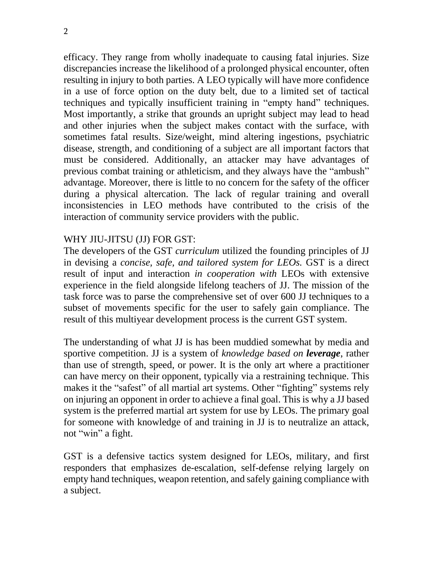efficacy. They range from wholly inadequate to causing fatal injuries. Size discrepancies increase the likelihood of a prolonged physical encounter, often resulting in injury to both parties. A LEO typically will have more confidence in a use of force option on the duty belt, due to a limited set of tactical techniques and typically insufficient training in "empty hand" techniques. Most importantly, a strike that grounds an upright subject may lead to head and other injuries when the subject makes contact with the surface, with sometimes fatal results. Size/weight, mind altering ingestions, psychiatric disease, strength, and conditioning of a subject are all important factors that must be considered. Additionally, an attacker may have advantages of previous combat training or athleticism, and they always have the "ambush" advantage. Moreover, there is little to no concern for the safety of the officer during a physical altercation. The lack of regular training and overall inconsistencies in LEO methods have contributed to the crisis of the interaction of community service providers with the public.

# WHY JIU-JITSU (JJ) FOR GST:

The developers of the GST *curriculum* utilized the founding principles of JJ in devising a *concise, safe, and tailored system for LEOs.* GST is a direct result of input and interaction *in cooperation with* LEOs with extensive experience in the field alongside lifelong teachers of JJ. The mission of the task force was to parse the comprehensive set of over 600 JJ techniques to a subset of movements specific for the user to safely gain compliance. The result of this multiyear development process is the current GST system.

The understanding of what JJ is has been muddied somewhat by media and sportive competition. JJ is a system of *knowledge based on leverage*, rather than use of strength, speed, or power. It is the only art where a practitioner can have mercy on their opponent, typically via a restraining technique. This makes it the "safest" of all martial art systems. Other "fighting" systems rely on injuring an opponent in order to achieve a final goal. This is why a JJ based system is the preferred martial art system for use by LEOs. The primary goal for someone with knowledge of and training in JJ is to neutralize an attack, not "win" a fight.

GST is a defensive tactics system designed for LEOs, military, and first responders that emphasizes de-escalation, self-defense relying largely on empty hand techniques, weapon retention, and safely gaining compliance with a subject.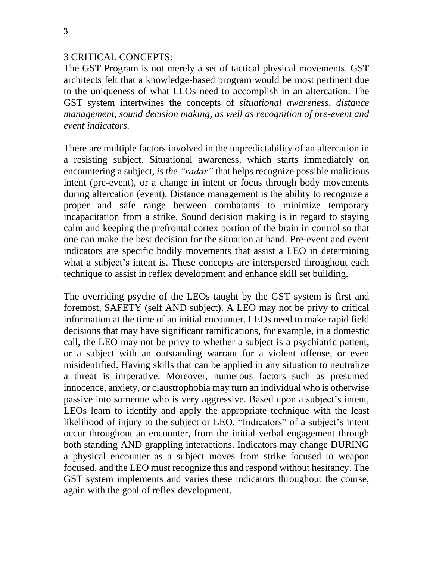#### 3 CRITICAL CONCEPTS:

The GST Program is not merely a set of tactical physical movements. GST architects felt that a knowledge-based program would be most pertinent due to the uniqueness of what LEOs need to accomplish in an altercation. The GST system intertwines the concepts of *situational awareness, distance management, sound decision making, as well as recognition of pre-event and event indicators.*

There are multiple factors involved in the unpredictability of an altercation in a resisting subject. Situational awareness, which starts immediately on encountering a subject, *is the "radar"* that helps recognize possible malicious intent (pre-event), or a change in intent or focus through body movements during altercation (event). Distance management is the ability to recognize a proper and safe range between combatants to minimize temporary incapacitation from a strike. Sound decision making is in regard to staying calm and keeping the prefrontal cortex portion of the brain in control so that one can make the best decision for the situation at hand. Pre-event and event indicators are specific bodily movements that assist a LEO in determining what a subject's intent is. These concepts are interspersed throughout each technique to assist in reflex development and enhance skill set building.

The overriding psyche of the LEOs taught by the GST system is first and foremost, SAFETY (self AND subject). A LEO may not be privy to critical information at the time of an initial encounter. LEOs need to make rapid field decisions that may have significant ramifications, for example, in a domestic call, the LEO may not be privy to whether a subject is a psychiatric patient, or a subject with an outstanding warrant for a violent offense, or even misidentified. Having skills that can be applied in any situation to neutralize a threat is imperative. Moreover, numerous factors such as presumed innocence, anxiety, or claustrophobia may turn an individual who is otherwise passive into someone who is very aggressive. Based upon a subject's intent, LEOs learn to identify and apply the appropriate technique with the least likelihood of injury to the subject or LEO. "Indicators" of a subject's intent occur throughout an encounter, from the initial verbal engagement through both standing AND grappling interactions. Indicators may change DURING a physical encounter as a subject moves from strike focused to weapon focused, and the LEO must recognize this and respond without hesitancy. The GST system implements and varies these indicators throughout the course, again with the goal of reflex development.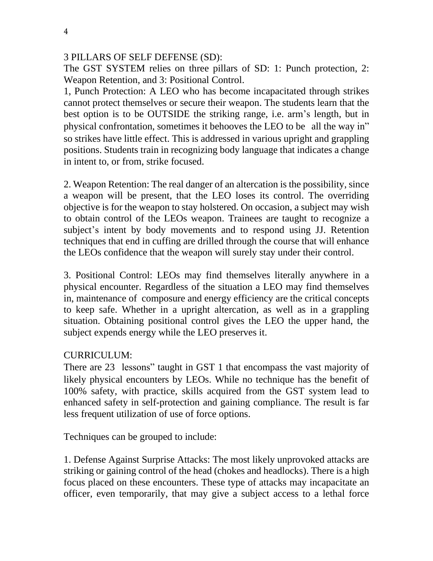# 3 PILLARS OF SELF DEFENSE (SD):

The GST SYSTEM relies on three pillars of SD: 1: Punch protection, 2: Weapon Retention, and 3: Positional Control.

1, Punch Protection: A LEO who has become incapacitated through strikes cannot protect themselves or secure their weapon. The students learn that the best option is to be OUTSIDE the striking range, i.e. arm's length, but in physical confrontation, sometimes it behooves the LEO to be all the way in" so strikes have little effect. This is addressed in various upright and grappling positions. Students train in recognizing body language that indicates a change in intent to, or from, strike focused.

2. Weapon Retention: The real danger of an altercation is the possibility, since a weapon will be present, that the LEO loses its control. The overriding objective is for the weapon to stay holstered. On occasion, a subject may wish to obtain control of the LEOs weapon. Trainees are taught to recognize a subject's intent by body movements and to respond using JJ. Retention techniques that end in cuffing are drilled through the course that will enhance the LEOs confidence that the weapon will surely stay under their control.

3. Positional Control: LEOs may find themselves literally anywhere in a physical encounter. Regardless of the situation a LEO may find themselves in, maintenance of composure and energy efficiency are the critical concepts to keep safe. Whether in a upright altercation, as well as in a grappling situation. Obtaining positional control gives the LEO the upper hand, the subject expends energy while the LEO preserves it.

# CURRICULUM:

There are 23 lessons" taught in GST 1 that encompass the vast majority of likely physical encounters by LEOs. While no technique has the benefit of 100% safety, with practice, skills acquired from the GST system lead to enhanced safety in self-protection and gaining compliance. The result is far less frequent utilization of use of force options.

Techniques can be grouped to include:

1. Defense Against Surprise Attacks: The most likely unprovoked attacks are striking or gaining control of the head (chokes and headlocks). There is a high focus placed on these encounters. These type of attacks may incapacitate an officer, even temporarily, that may give a subject access to a lethal force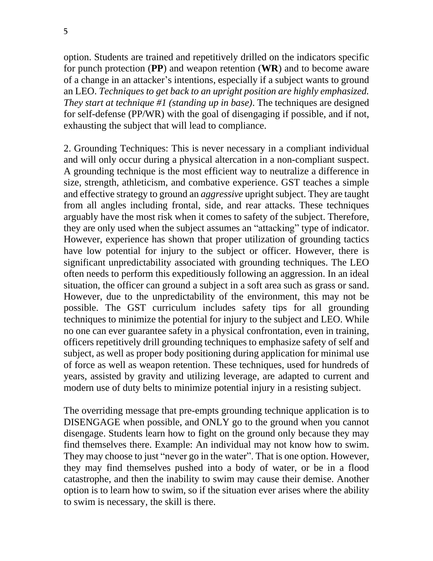option. Students are trained and repetitively drilled on the indicators specific for punch protection (**PP**) and weapon retention (**WR**) and to become aware of a change in an attacker's intentions, especially if a subject wants to ground an LEO. *Techniques to get back to an upright position are highly emphasized. They start at technique #1 (standing up in base)*. The techniques are designed for self-defense (PP/WR) with the goal of disengaging if possible, and if not, exhausting the subject that will lead to compliance.

2. Grounding Techniques: This is never necessary in a compliant individual and will only occur during a physical altercation in a non-compliant suspect. A grounding technique is the most efficient way to neutralize a difference in size, strength, athleticism, and combative experience. GST teaches a simple and effective strategy to ground an *aggressive* upright subject. They are taught from all angles including frontal, side, and rear attacks. These techniques arguably have the most risk when it comes to safety of the subject. Therefore, they are only used when the subject assumes an "attacking" type of indicator. However, experience has shown that proper utilization of grounding tactics have low potential for injury to the subject or officer. However, there is significant unpredictability associated with grounding techniques. The LEO often needs to perform this expeditiously following an aggression. In an ideal situation, the officer can ground a subject in a soft area such as grass or sand. However, due to the unpredictability of the environment, this may not be possible. The GST curriculum includes safety tips for all grounding techniques to minimize the potential for injury to the subject and LEO. While no one can ever guarantee safety in a physical confrontation, even in training, officers repetitively drill grounding techniques to emphasize safety of self and subject, as well as proper body positioning during application for minimal use of force as well as weapon retention. These techniques, used for hundreds of years, assisted by gravity and utilizing leverage, are adapted to current and modern use of duty belts to minimize potential injury in a resisting subject.

The overriding message that pre-empts grounding technique application is to DISENGAGE when possible, and ONLY go to the ground when you cannot disengage. Students learn how to fight on the ground only because they may find themselves there. Example: An individual may not know how to swim. They may choose to just "never go in the water". That is one option. However, they may find themselves pushed into a body of water, or be in a flood catastrophe, and then the inability to swim may cause their demise. Another option is to learn how to swim, so if the situation ever arises where the ability to swim is necessary, the skill is there.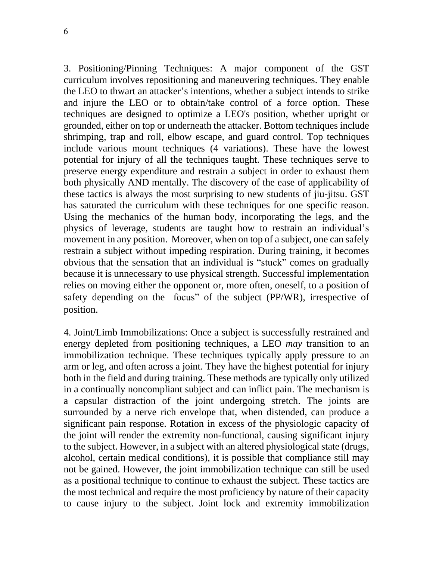3. Positioning/Pinning Techniques: A major component of the GST curriculum involves repositioning and maneuvering techniques. They enable the LEO to thwart an attacker's intentions, whether a subject intends to strike and injure the LEO or to obtain/take control of a force option. These techniques are designed to optimize a LEO's position, whether upright or grounded, either on top or underneath the attacker. Bottom techniques include shrimping, trap and roll, elbow escape, and guard control. Top techniques include various mount techniques (4 variations). These have the lowest potential for injury of all the techniques taught. These techniques serve to preserve energy expenditure and restrain a subject in order to exhaust them both physically AND mentally. The discovery of the ease of applicability of these tactics is always the most surprising to new students of jiu-jitsu. GST has saturated the curriculum with these techniques for one specific reason. Using the mechanics of the human body, incorporating the legs, and the physics of leverage, students are taught how to restrain an individual's movement in any position. Moreover, when on top of a subject, one can safely restrain a subject without impeding respiration. During training, it becomes obvious that the sensation that an individual is "stuck" comes on gradually because it is unnecessary to use physical strength. Successful implementation relies on moving either the opponent or, more often, oneself, to a position of safety depending on the focus" of the subject (PP/WR), irrespective of position.

4. Joint/Limb Immobilizations: Once a subject is successfully restrained and energy depleted from positioning techniques, a LEO *may* transition to an immobilization technique. These techniques typically apply pressure to an arm or leg, and often across a joint. They have the highest potential for injury both in the field and during training. These methods are typically only utilized in a continually noncompliant subject and can inflict pain. The mechanism is a capsular distraction of the joint undergoing stretch. The joints are surrounded by a nerve rich envelope that, when distended, can produce a significant pain response. Rotation in excess of the physiologic capacity of the joint will render the extremity non-functional, causing significant injury to the subject. However, in a subject with an altered physiological state (drugs, alcohol, certain medical conditions), it is possible that compliance still may not be gained. However, the joint immobilization technique can still be used as a positional technique to continue to exhaust the subject. These tactics are the most technical and require the most proficiency by nature of their capacity to cause injury to the subject. Joint lock and extremity immobilization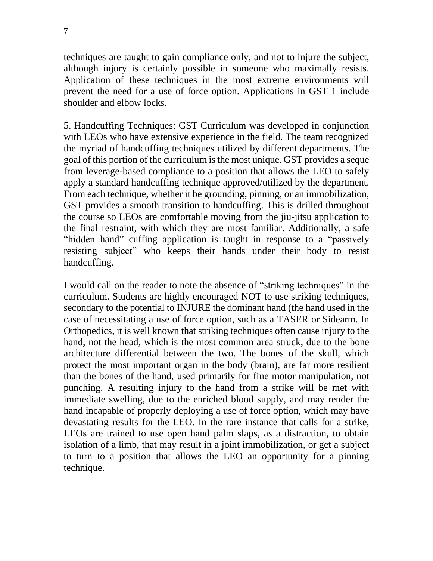techniques are taught to gain compliance only, and not to injure the subject, although injury is certainly possible in someone who maximally resists. Application of these techniques in the most extreme environments will prevent the need for a use of force option. Applications in GST 1 include shoulder and elbow locks.

5. Handcuffing Techniques: GST Curriculum was developed in conjunction with LEOs who have extensive experience in the field. The team recognized the myriad of handcuffing techniques utilized by different departments. The goal of this portion of the curriculum isthe most unique. GST provides a seque from leverage-based compliance to a position that allows the LEO to safely apply a standard handcuffing technique approved/utilized by the department. From each technique, whether it be grounding, pinning, or an immobilization, GST provides a smooth transition to handcuffing. This is drilled throughout the course so LEOs are comfortable moving from the jiu-jitsu application to the final restraint, with which they are most familiar. Additionally, a safe "hidden hand" cuffing application is taught in response to a "passively resisting subject" who keeps their hands under their body to resist handcuffing.

I would call on the reader to note the absence of "striking techniques" in the curriculum. Students are highly encouraged NOT to use striking techniques, secondary to the potential to INJURE the dominant hand (the hand used in the case of necessitating a use of force option, such as a TASER or Sidearm. In Orthopedics, it is well known that striking techniques often cause injury to the hand, not the head, which is the most common area struck, due to the bone architecture differential between the two. The bones of the skull, which protect the most important organ in the body (brain), are far more resilient than the bones of the hand, used primarily for fine motor manipulation, not punching. A resulting injury to the hand from a strike will be met with immediate swelling, due to the enriched blood supply, and may render the hand incapable of properly deploying a use of force option, which may have devastating results for the LEO. In the rare instance that calls for a strike, LEOs are trained to use open hand palm slaps, as a distraction, to obtain isolation of a limb, that may result in a joint immobilization, or get a subject to turn to a position that allows the LEO an opportunity for a pinning technique.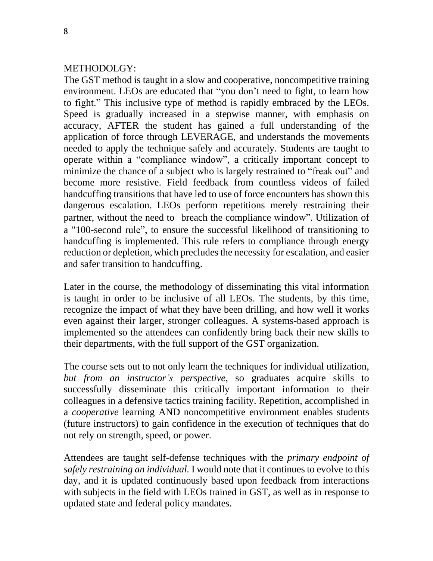# METHODOLGY:

The GST method is taught in a slow and cooperative, noncompetitive training environment. LEOs are educated that "you don't need to fight, to learn how to fight." This inclusive type of method is rapidly embraced by the LEOs. Speed is gradually increased in a stepwise manner, with emphasis on accuracy, AFTER the student has gained a full understanding of the application of force through LEVERAGE, and understands the movements needed to apply the technique safely and accurately. Students are taught to operate within a "compliance window", a critically important concept to minimize the chance of a subject who is largely restrained to "freak out" and become more resistive. Field feedback from countless videos of failed handcuffing transitions that have led to use of force encounters has shown this dangerous escalation. LEOs perform repetitions merely restraining their partner, without the need to breach the compliance window". Utilization of a "100-second rule", to ensure the successful likelihood of transitioning to handcuffing is implemented. This rule refers to compliance through energy reduction or depletion, which precludes the necessity for escalation, and easier and safer transition to handcuffing.

Later in the course, the methodology of disseminating this vital information is taught in order to be inclusive of all LEOs. The students, by this time, recognize the impact of what they have been drilling, and how well it works even against their larger, stronger colleagues. A systems-based approach is implemented so the attendees can confidently bring back their new skills to their departments, with the full support of the GST organization.

The course sets out to not only learn the techniques for individual utilization, *but from an instructor's perspective*, so graduates acquire skills to successfully disseminate this critically important information to their colleagues in a defensive tactics training facility. Repetition, accomplished in a *cooperative* learning AND noncompetitive environment enables students (future instructors) to gain confidence in the execution of techniques that do not rely on strength, speed, or power.

Attendees are taught self-defense techniques with the *primary endpoint of safely restraining an individual.* I would note that it continues to evolve to this day, and it is updated continuously based upon feedback from interactions with subjects in the field with LEOs trained in GST, as well as in response to updated state and federal policy mandates.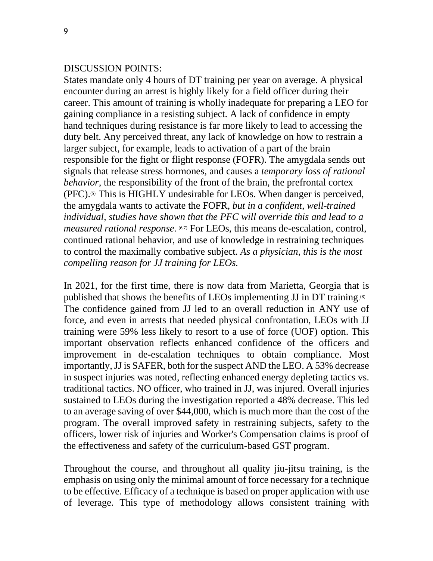#### DISCUSSION POINTS:

States mandate only 4 hours of DT training per year on average. A physical encounter during an arrest is highly likely for a field officer during their career. This amount of training is wholly inadequate for preparing a LEO for gaining compliance in a resisting subject. A lack of confidence in empty hand techniques during resistance is far more likely to lead to accessing the duty belt. Any perceived threat, any lack of knowledge on how to restrain a larger subject, for example, leads to activation of a part of the brain responsible for the fight or flight response (FOFR). The amygdala sends out signals that release stress hormones, and causes a *temporary loss of rational behavior,* the responsibility of the front of the brain, the prefrontal cortex  $(PFC)$ .<sup>(5)</sup> This is HIGHLY undesirable for LEOs. When danger is perceived, the amygdala wants to activate the FOFR, *but in a confident, well-trained individual, studies have shown that the PFC will override this and lead to a measured rational response.* (6,7) For LEOs, this means de-escalation, control, continued rational behavior, and use of knowledge in restraining techniques to control the maximally combative subject. *As a physician, this is the most compelling reason for JJ training for LEOs.*

In 2021, for the first time, there is now data from Marietta, Georgia that is published that shows the benefits of LEOs implementing JJ in DT training.<sup>(8)</sup> The confidence gained from JJ led to an overall reduction in ANY use of force, and even in arrests that needed physical confrontation, LEOs with JJ training were 59% less likely to resort to a use of force (UOF) option. This important observation reflects enhanced confidence of the officers and improvement in de-escalation techniques to obtain compliance. Most importantly, JJ is SAFER, both for the suspect AND the LEO. A 53% decrease in suspect injuries was noted, reflecting enhanced energy depleting tactics vs. traditional tactics. NO officer, who trained in JJ, was injured. Overall injuries sustained to LEOs during the investigation reported a 48% decrease. This led to an average saving of over \$44,000, which is much more than the cost of the program. The overall improved safety in restraining subjects, safety to the officers, lower risk of injuries and Worker's Compensation claims is proof of the effectiveness and safety of the curriculum-based GST program.

Throughout the course, and throughout all quality jiu-jitsu training, is the emphasis on using only the minimal amount of force necessary for a technique to be effective. Efficacy of a technique is based on proper application with use of leverage. This type of methodology allows consistent training with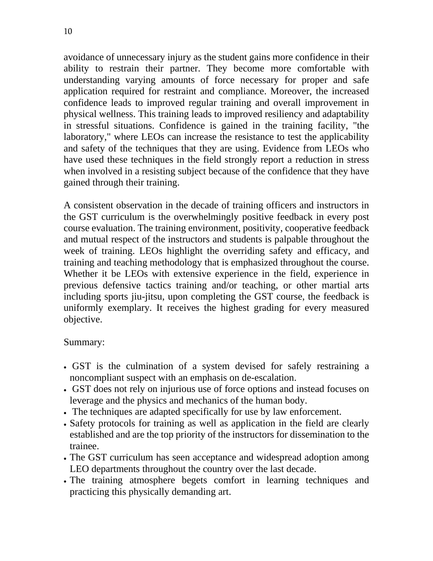10

avoidance of unnecessary injury as the student gains more confidence in their ability to restrain their partner. They become more comfortable with understanding varying amounts of force necessary for proper and safe application required for restraint and compliance. Moreover, the increased confidence leads to improved regular training and overall improvement in physical wellness. This training leads to improved resiliency and adaptability in stressful situations. Confidence is gained in the training facility, "the laboratory," where LEOs can increase the resistance to test the applicability and safety of the techniques that they are using. Evidence from LEOs who have used these techniques in the field strongly report a reduction in stress when involved in a resisting subject because of the confidence that they have gained through their training.

A consistent observation in the decade of training officers and instructors in the GST curriculum is the overwhelmingly positive feedback in every post course evaluation. The training environment, positivity, cooperative feedback and mutual respect of the instructors and students is palpable throughout the week of training. LEOs highlight the overriding safety and efficacy, and training and teaching methodology that is emphasized throughout the course. Whether it be LEOs with extensive experience in the field, experience in previous defensive tactics training and/or teaching, or other martial arts including sports jiu-jitsu, upon completing the GST course, the feedback is uniformly exemplary. It receives the highest grading for every measured objective.

#### Summary:

- GST is the culmination of a system devised for safely restraining a noncompliant suspect with an emphasis on de-escalation.
- GST does not rely on injurious use of force options and instead focuses on leverage and the physics and mechanics of the human body.
- The techniques are adapted specifically for use by law enforcement.
- Safety protocols for training as well as application in the field are clearly established and are the top priority of the instructors for dissemination to the trainee.
- The GST curriculum has seen acceptance and widespread adoption among LEO departments throughout the country over the last decade.
- The training atmosphere begets comfort in learning techniques and practicing this physically demanding art.